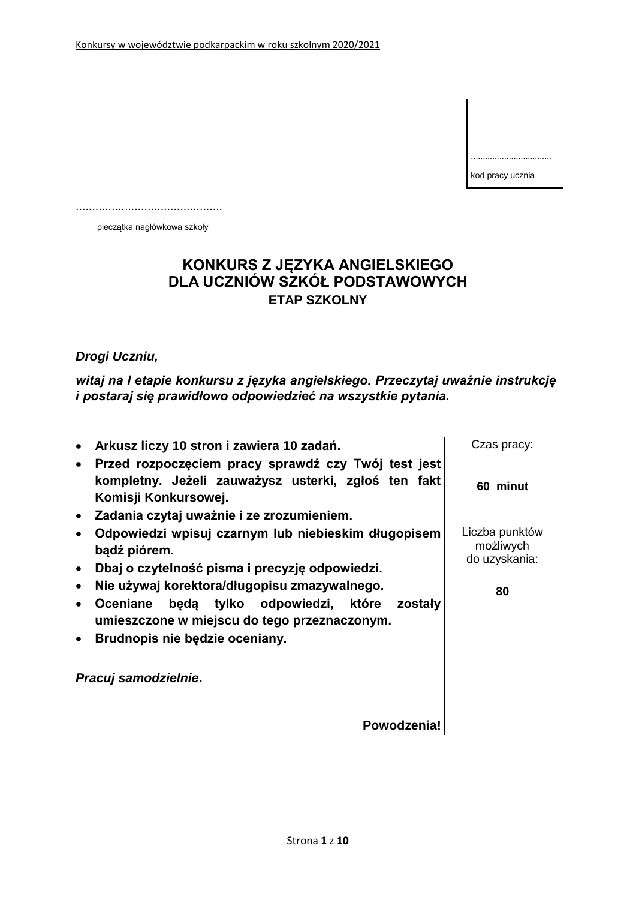kod pracy ucznia

..................................

.............................................

pieczątka nagłówkowa szkoły

## **KONKURS Z JĘZYKA ANGIELSKIEGO DLA UCZNIÓW SZKÓŁ PODSTAWOWYCH ETAP SZKOLNY**

### *Drogi Uczniu,*

*witaj na I etapie konkursu z języka angielskiego. Przeczytaj uważnie instrukcję i postaraj się prawidłowo odpowiedzieć na wszystkie pytania.*

| Arkusz liczy 10 stron i zawiera 10 zadań.                                                                                                                                                    | Czas pracy:                                  |
|----------------------------------------------------------------------------------------------------------------------------------------------------------------------------------------------|----------------------------------------------|
| Przed rozpoczęciem pracy sprawdź czy Twój test jest<br>kompletny. Jeżeli zauważysz usterki, zgłoś ten fakt<br>Komisji Konkursowej.<br>Zadania czytaj uważnie i ze zrozumieniem.<br>$\bullet$ | 60 minut                                     |
| Odpowiedzi wpisuj czarnym lub niebieskim długopisem<br>bądź piórem.                                                                                                                          | Liczba punktów<br>możliwych<br>do uzyskania: |
| Dbaj o czytelność pisma i precyzję odpowiedzi.                                                                                                                                               |                                              |
| Nie używaj korektora/długopisu zmazywalnego.<br>$\bullet$                                                                                                                                    | 80                                           |
| będą tylko odpowiedzi, które zostały<br><b>Oceniane</b><br>$\bullet$<br>umieszczone w miejscu do tego przeznaczonym.                                                                         |                                              |
| Brudnopis nie będzie oceniany.<br>$\bullet$                                                                                                                                                  |                                              |
| Pracuj samodzielnie.                                                                                                                                                                         |                                              |
| Powodzenia!                                                                                                                                                                                  |                                              |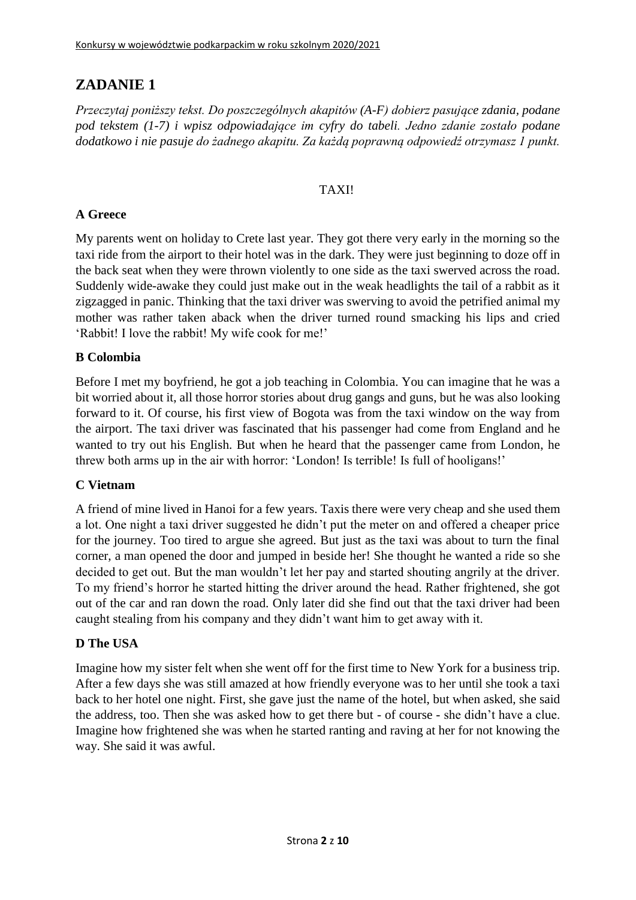*Przeczytaj poniższy tekst. Do poszczególnych akapitów (A-F) dobierz pasujące zdania, podane pod tekstem (1-7) i wpisz odpowiadające im cyfry do tabeli. Jedno zdanie zostało podane dodatkowo i nie pasuje do żadnego akapitu. Za każdą poprawną odpowiedź otrzymasz 1 punkt.*

### TAXI!

### **A Greece**

My parents went on holiday to Crete last year. They got there very early in the morning so the taxi ride from the airport to their hotel was in the dark. They were just beginning to doze off in the back seat when they were thrown violently to one side as the taxi swerved across the road. Suddenly wide-awake they could just make out in the weak headlights the tail of a rabbit as it zigzagged in panic. Thinking that the taxi driver was swerving to avoid the petrified animal my mother was rather taken aback when the driver turned round smacking his lips and cried 'Rabbit! I love the rabbit! My wife cook for me!'

#### **B Colombia**

Before I met my boyfriend, he got a job teaching in Colombia. You can imagine that he was a bit worried about it, all those horror stories about drug gangs and guns, but he was also looking forward to it. Of course, his first view of Bogota was from the taxi window on the way from the airport. The taxi driver was fascinated that his passenger had come from England and he wanted to try out his English. But when he heard that the passenger came from London, he threw both arms up in the air with horror: 'London! Is terrible! Is full of hooligans!'

#### **C Vietnam**

A friend of mine lived in Hanoi for a few years. Taxis there were very cheap and she used them a lot. One night a taxi driver suggested he didn't put the meter on and offered a cheaper price for the journey. Too tired to argue she agreed. But just as the taxi was about to turn the final corner, a man opened the door and jumped in beside her! She thought he wanted a ride so she decided to get out. But the man wouldn't let her pay and started shouting angrily at the driver. To my friend's horror he started hitting the driver around the head. Rather frightened, she got out of the car and ran down the road. Only later did she find out that the taxi driver had been caught stealing from his company and they didn't want him to get away with it.

#### **D The USA**

Imagine how my sister felt when she went off for the first time to New York for a business trip. After a few days she was still amazed at how friendly everyone was to her until she took a taxi back to her hotel one night. First, she gave just the name of the hotel, but when asked, she said the address, too. Then she was asked how to get there but - of course - she didn't have a clue. Imagine how frightened she was when he started ranting and raving at her for not knowing the way. She said it was awful.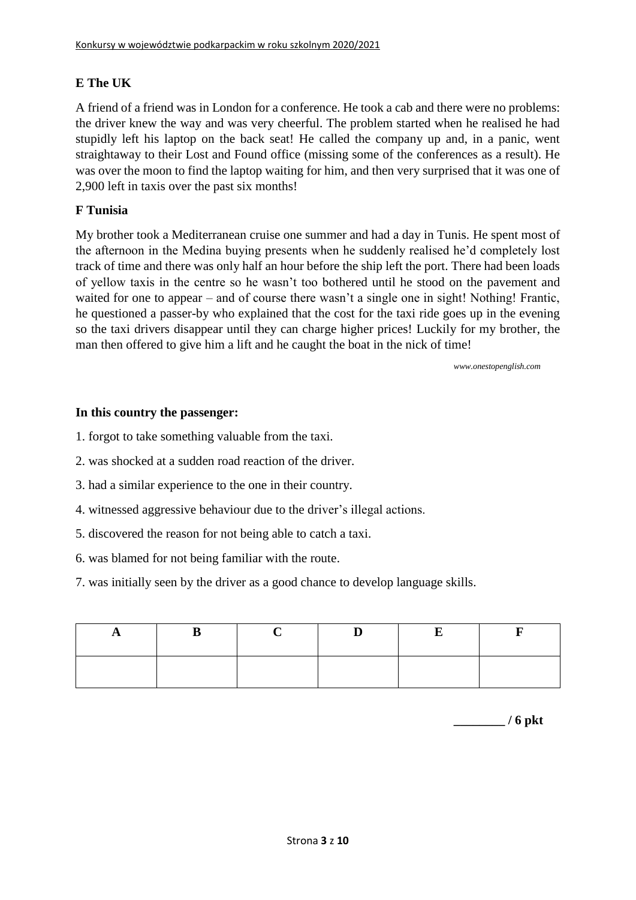### **E The UK**

A friend of a friend was in London for a conference. He took a cab and there were no problems: the driver knew the way and was very cheerful. The problem started when he realised he had stupidly left his laptop on the back seat! He called the company up and, in a panic, went straightaway to their Lost and Found office (missing some of the conferences as a result). He was over the moon to find the laptop waiting for him, and then very surprised that it was one of 2,900 left in taxis over the past six months!

### **F Tunisia**

My brother took a Mediterranean cruise one summer and had a day in Tunis. He spent most of the afternoon in the Medina buying presents when he suddenly realised he'd completely lost track of time and there was only half an hour before the ship left the port. There had been loads of yellow taxis in the centre so he wasn't too bothered until he stood on the pavement and waited for one to appear – and of course there wasn't a single one in sight! Nothing! Frantic, he questioned a passer-by who explained that the cost for the taxi ride goes up in the evening so the taxi drivers disappear until they can charge higher prices! Luckily for my brother, the man then offered to give him a lift and he caught the boat in the nick of time!

*[www.onestopenglish.com](http://www.onestopenglish.com/)*

#### **In this country the passenger:**

1. forgot to take something valuable from the taxi.

- 2. was shocked at a sudden road reaction of the driver.
- 3. had a similar experience to the one in their country.
- 4. witnessed aggressive behaviour due to the driver's illegal actions.
- 5. discovered the reason for not being able to catch a taxi.
- 6. was blamed for not being familiar with the route.
- 7. was initially seen by the driver as a good chance to develop language skills.

**\_\_\_\_\_\_\_\_ / 6 pkt**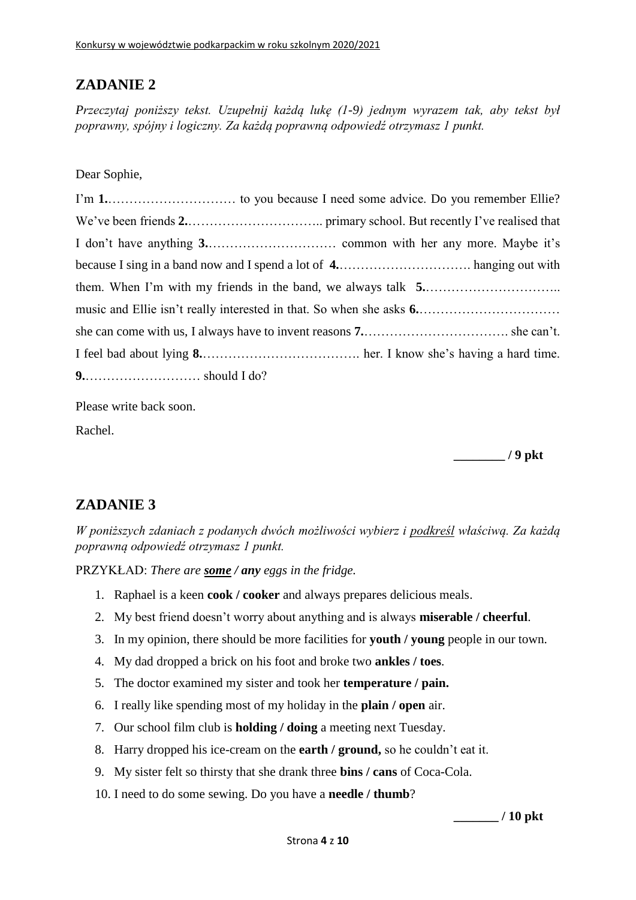*Przeczytaj poniższy tekst. Uzupełnij każdą lukę (1-9) jednym wyrazem tak, aby tekst był poprawny, spójny i logiczny. Za każdą poprawną odpowiedź otrzymasz 1 punkt.*

Dear Sophie,

Please write back soon.

Rachel.

**\_\_\_\_\_\_\_\_ / 9 pkt**

### **ZADANIE 3**

*W poniższych zdaniach z podanych dwóch możliwości wybierz i podkreśl właściwą. Za każdą poprawną odpowiedź otrzymasz 1 punkt.*

PRZYKŁAD: *There are some / any eggs in the fridge.*

- 1. Raphael is a keen **cook / cooker** and always prepares delicious meals.
- 2. My best friend doesn't worry about anything and is always **miserable / cheerful**.
- 3. In my opinion, there should be more facilities for **youth / young** people in our town.
- 4. My dad dropped a brick on his foot and broke two **ankles / toes**.
- 5. The doctor examined my sister and took her **temperature / pain.**
- 6. I really like spending most of my holiday in the **plain / open** air.
- 7. Our school film club is **holding / doing** a meeting next Tuesday.
- 8. Harry dropped his ice-cream on the **earth / ground,** so he couldn't eat it.
- 9. My sister felt so thirsty that she drank three **bins / cans** of Coca-Cola.
- 10. I need to do some sewing. Do you have a **needle / thumb**?

**\_\_\_\_\_\_\_ / 10 pkt**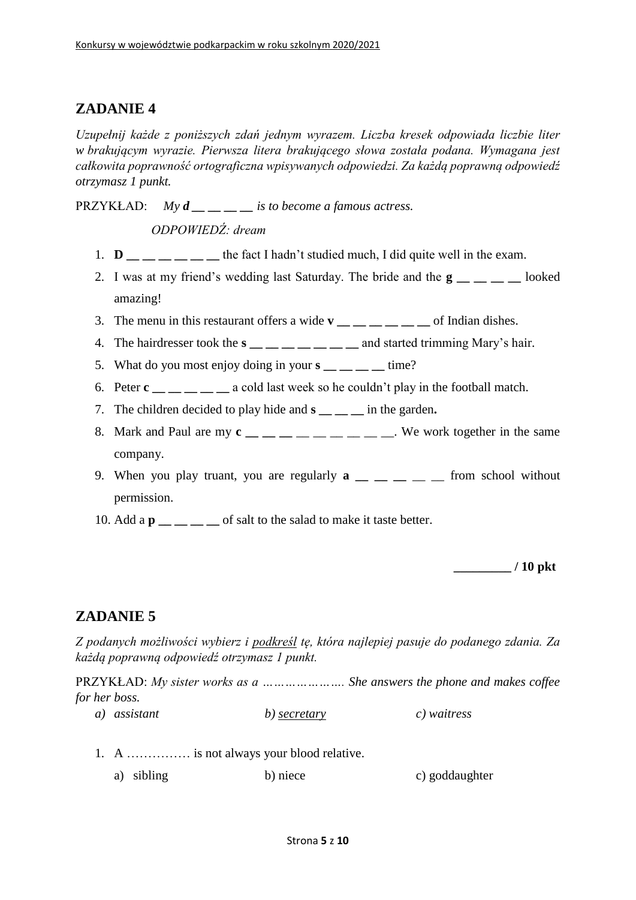*Uzupełnij każde z poniższych zdań jednym wyrazem. Liczba kresek odpowiada liczbie liter w brakującym wyrazie. Pierwsza litera brakującego słowa została podana. Wymagana jest całkowita poprawność ortograficzna wpisywanych odpowiedzi. Za każdą poprawną odpowiedź otrzymasz 1 punkt.*

PRZYKŁAD: *My d*  $i$  *<i>is to become a famous actress.* 

*ODPOWIEDŹ: dream*

- 1.  $\mathbf{D}$   $\mathbf{D}$   $\mathbf{D}$   $\mathbf{D}$   $\mathbf{D}$   $\mathbf{D}$   $\mathbf{D}$   $\mathbf{D}$   $\mathbf{D}$   $\mathbf{D}$   $\mathbf{D}$   $\mathbf{D}$   $\mathbf{D}$   $\mathbf{D}$   $\mathbf{D}$   $\mathbf{D}$   $\mathbf{D}$   $\mathbf{D}$   $\mathbf{D}$   $\mathbf{D}$   $\mathbf{D}$   $\mathbf{D}$   $\mathbf{D}$   $\mathbf{D}$   $\$
- 2. I was at my friend's wedding last Saturday. The bride and the **g \_\_ \_\_ \_\_ \_\_** looked amazing!
- 3. The menu in this restaurant offers a wide  $\mathbf{v}$  \_\_ \_ \_ \_ \_ \_ of Indian dishes.
- 4. The hairdresser took the  $s$   $\_\_\_\_\_\_\_\_\_\_\_\_$  and started trimming Mary's hair.
- 5. What do you most enjoy doing in your  $s_{\text{max}} = \frac{1}{s}$  time?
- 6. Peter **c \_\_ \_\_ \_\_ \_\_ \_\_** a cold last week so he couldn't play in the football match.
- 7. The children decided to play hide and **s \_\_ \_\_ \_\_** in the garden**.**
- 8. Mark and Paul are my  $c_{\text{max}} = 1$  and  $c_{\text{max}} = 1$  and  $c_{\text{max}} = 1$  and  $c_{\text{max}} = 1$  and  $c_{\text{max}} = 1$  and  $c_{\text{max}} = 1$  and  $c_{\text{max}} = 1$  and  $c_{\text{max}} = 1$  and  $c_{\text{max}} = 1$  and  $c_{\text{max}} = 1$  and  $c_{\text{max}} = 1$  and  $c_{\text{max}} =$ company.
- 9. When you play truant, you are regularly  $\mathbf{a}$   $\mathbf{a}$   $\mathbf{a}$   $\mathbf{a}$   $\mathbf{a}$   $\mathbf{a}$   $\mathbf{b}$   $\mathbf{c}$  from school without permission.
- 10. Add a  $\mathbf{p}$  \_\_ \_ \_ of salt to the salad to make it taste better.

**\_\_\_\_\_\_\_\_\_ / 10 pkt**

### **ZADANIE 5**

*Z podanych możliwości wybierz i podkreśl tę, która najlepiej pasuje do podanego zdania. Za każdą poprawną odpowiedź otrzymasz 1 punkt.*

PRZYKŁAD: *My sister works as a …………………. She answers the phone and makes coffee for her boss.*

- *a) assistant b) secretary c) waitress*
- 1. A …………… is not always your blood relative.
	- a) sibling b) niece c) goddaughter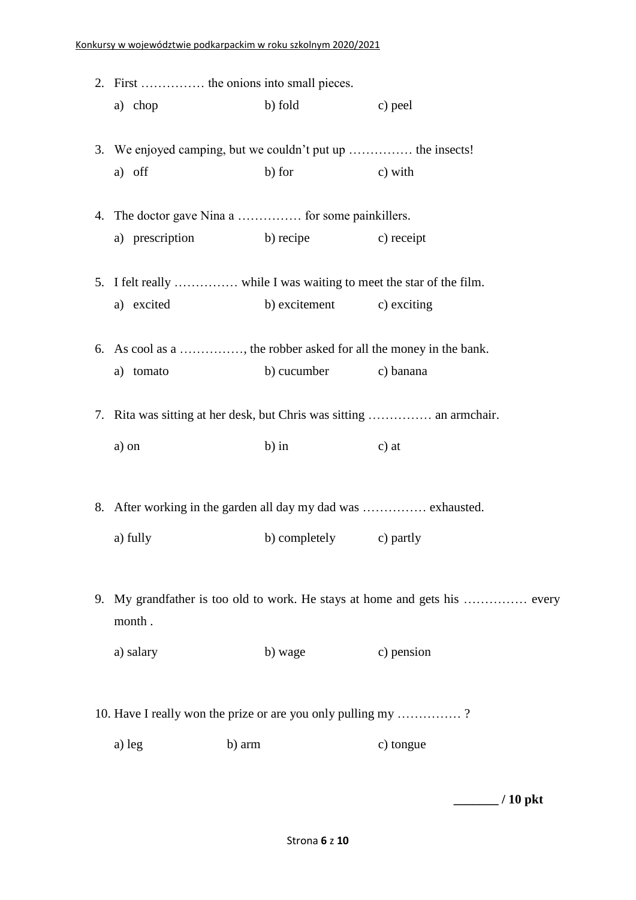|                                                              | 2. First  the onions into small pieces. |                                                                      |                                                                            |  |
|--------------------------------------------------------------|-----------------------------------------|----------------------------------------------------------------------|----------------------------------------------------------------------------|--|
|                                                              | a) chop                                 | b) fold c) peel                                                      |                                                                            |  |
|                                                              |                                         | 3. We enjoyed camping, but we couldn't put up  the insects!          |                                                                            |  |
|                                                              | a) off                                  | b) for                                                               | c) with                                                                    |  |
|                                                              |                                         | 4. The doctor gave Nina a  for some painkillers.                     |                                                                            |  |
|                                                              |                                         | a) prescription b) recipe c) receipt                                 |                                                                            |  |
|                                                              |                                         | 5. I felt really  while I was waiting to meet the star of the film.  |                                                                            |  |
|                                                              | a) excited                              | b) excitement c) exciting                                            |                                                                            |  |
|                                                              |                                         | 6. As cool as a , the robber asked for all the money in the bank.    |                                                                            |  |
|                                                              | a) tomato                               | b) cucumber c) banana                                                |                                                                            |  |
|                                                              |                                         | 7. Rita was sitting at her desk, but Chris was sitting  an armchair. |                                                                            |  |
|                                                              | a) on                                   | $b)$ in                                                              | c) at                                                                      |  |
|                                                              |                                         |                                                                      |                                                                            |  |
|                                                              |                                         | 8. After working in the garden all day my dad was  exhausted.        |                                                                            |  |
|                                                              | a) fully                                | b) completely c) partly                                              |                                                                            |  |
|                                                              |                                         |                                                                      |                                                                            |  |
|                                                              | month.                                  |                                                                      | 9. My grandfather is too old to work. He stays at home and gets his  every |  |
|                                                              | a) salary                               | b) wage                                                              | c) pension                                                                 |  |
|                                                              |                                         |                                                                      |                                                                            |  |
| 10. Have I really won the prize or are you only pulling my ? |                                         |                                                                      |                                                                            |  |
|                                                              | a) leg                                  | b) arm                                                               | c) tongue                                                                  |  |
|                                                              |                                         |                                                                      |                                                                            |  |

**\_\_\_\_\_\_\_ / 10 pkt**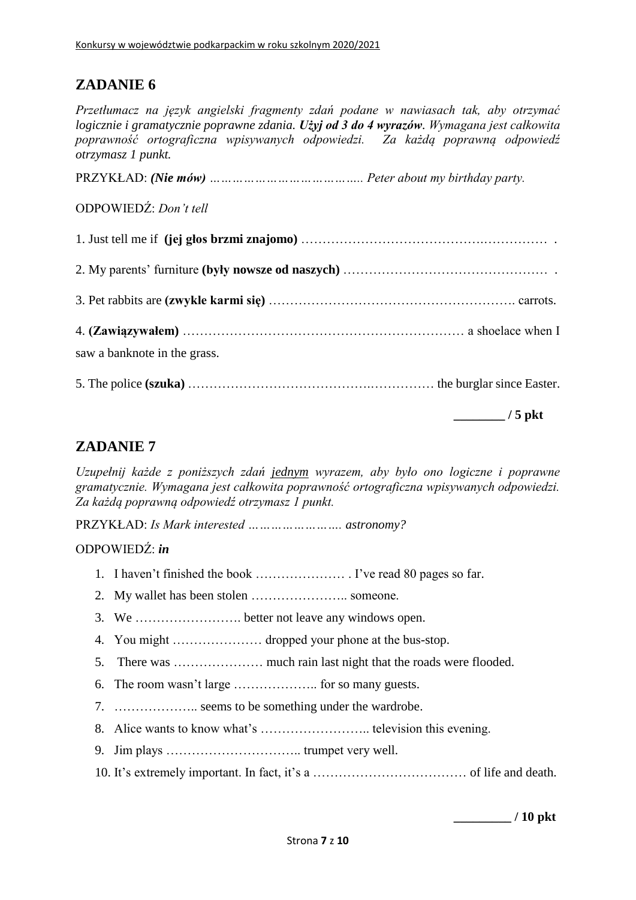*Przetłumacz na język angielski fragmenty zdań podane w nawiasach tak, aby otrzymać logicznie i gramatycznie poprawne zdania. Użyj od 3 do 4 wyrazów. Wymagana jest całkowita poprawność ortograficzna wpisywanych odpowiedzi. Za każdą poprawną odpowiedź otrzymasz 1 punkt.*

PRZYKŁAD: *(Nie mów) ………………………………….. Peter about my birthday party.*

ODPOWIEDŹ: *Don't tell*

| saw a banknote in the grass.                   |  |
|------------------------------------------------|--|
|                                                |  |
| $\mathbf{F}$ and $\mathbf{F}$ and $\mathbf{F}$ |  |

**\_\_\_\_\_\_\_\_ / 5 pkt**

## **ZADANIE 7**

*Uzupełnij każde z poniższych zdań jednym wyrazem, aby było ono logiczne i poprawne gramatycznie. Wymagana jest całkowita poprawność ortograficzna wpisywanych odpowiedzi. Za każdą poprawną odpowiedź otrzymasz 1 punkt.*

PRZYKŁAD: *Is Mark interested ……………………. astronomy?*

### ODPOWIEDŹ: *in*

- 1. I haven't finished the book ………………… . I've read 80 pages so far.
- 2. My wallet has been stolen ………………….. someone.
- 3. We ……………………. better not leave any windows open.
- 4. You might ………………… dropped your phone at the bus-stop.
- 5. There was ………………… much rain last night that the roads were flooded.
- 6. The room wasn't large ……………….. for so many guests.
- 7. ……………….. seems to be something under the wardrobe.
- 8. Alice wants to know what's …………………….. television this evening.
- 9. Jim plays ………………………….. trumpet very well.
- 10. It's extremely important. In fact, it's a ……………………………… of life and death.

**\_\_\_\_\_\_\_\_\_ / 10 pkt**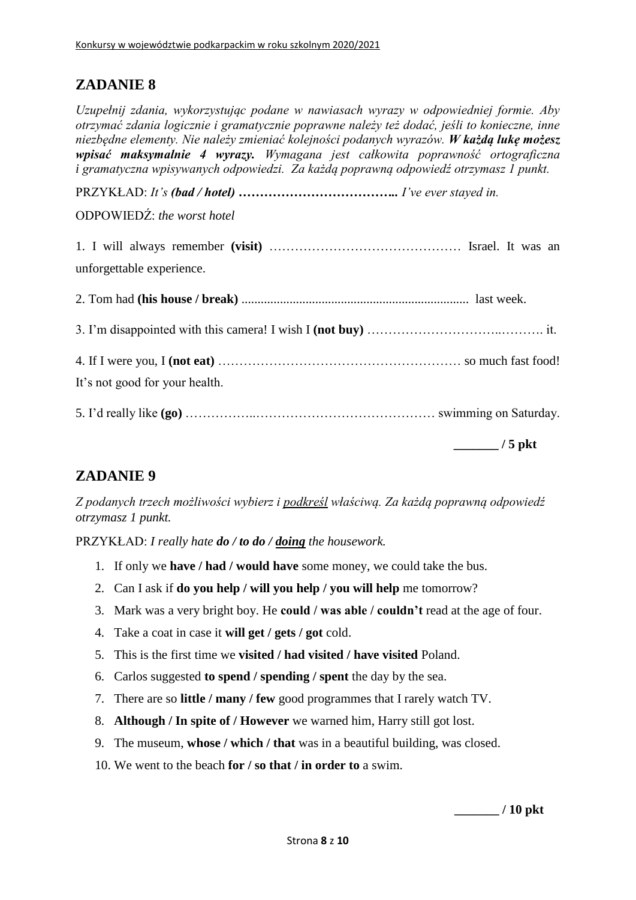*Uzupełnij zdania, wykorzystując podane w nawiasach wyrazy w odpowiedniej formie. Aby otrzymać zdania logicznie i gramatycznie poprawne należy też dodać, jeśli to konieczne, inne niezbędne elementy. Nie należy zmieniać kolejności podanych wyrazów. W każdą lukę możesz wpisać maksymalnie 4 wyrazy. Wymagana jest całkowita poprawność ortograficzna i gramatyczna wpisywanych odpowiedzi. Za każdą poprawną odpowiedź otrzymasz 1 punkt.*

PRZYKŁAD: *It's (bad / hotel) ……………………………….. I've ever stayed in.*

ODPOWIEDŹ: *the worst hotel*

| unforgettable experience.      |                       |
|--------------------------------|-----------------------|
|                                |                       |
|                                |                       |
|                                |                       |
| It's not good for your health. |                       |
|                                |                       |
|                                | $\frac{1}{2}$ / 5 pkt |

# **ZADANIE 9**

*Z podanych trzech możliwości wybierz i podkreśl właściwą. Za każdą poprawną odpowiedź otrzymasz 1 punkt.*

PRZYKŁAD: *I really hate do / to do / doing the housework.*

- 1. If only we **have / had / would have** some money, we could take the bus.
- 2. Can I ask if **do you help / will you help / you will help** me tomorrow?
- 3. Mark was a very bright boy. He **could / was able / couldn't** read at the age of four.
- 4. Take a coat in case it **will get / gets / got** cold.
- 5. This is the first time we **visited / had visited / have visited** Poland.
- 6. Carlos suggested **to spend / spending / spent** the day by the sea.
- 7. There are so **little / many / few** good programmes that I rarely watch TV.
- 8. **Although / In spite of / However** we warned him, Harry still got lost.
- 9. The museum, **whose / which / that** was in a beautiful building, was closed.
- 10. We went to the beach **for / so that / in order to** a swim.

**\_\_\_\_\_\_\_ / 10 pkt**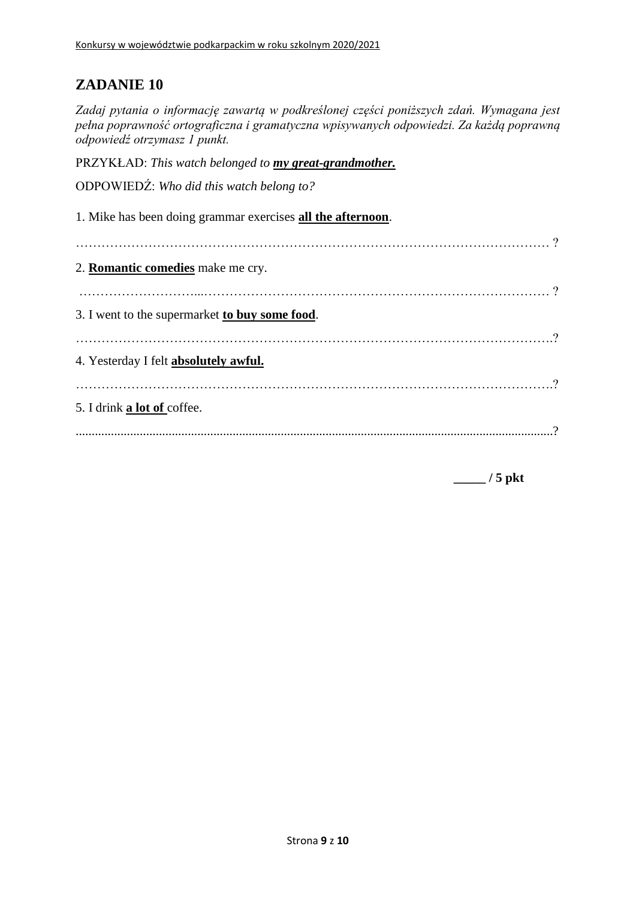*Zadaj pytania o informację zawartą w podkreślonej części poniższych zdań. Wymagana jest pełna poprawność ortograficzna i gramatyczna wpisywanych odpowiedzi. Za każdą poprawną odpowiedź otrzymasz 1 punkt.*

PRZYKŁAD: *This watch belonged to my great-grandmother.*

ODPOWIEDŹ: *Who did this watch belong to?*

1. Mike has been doing grammar exercises **all the afternoon**. ………………………………………………………………………………………………… ? 2. **Romantic comedies** make me cry. ………………………...……………………………………………………………………… ? 3. I went to the supermarket **to buy some food**. ………………………………………………………………………………………………….? 4. Yesterday I felt **absolutely awful.** ………………………………………………………………………………………………….? 5. I drink **a lot of** coffee. .....................................................................................................................................................?

**\_\_\_\_\_ / 5 pkt**